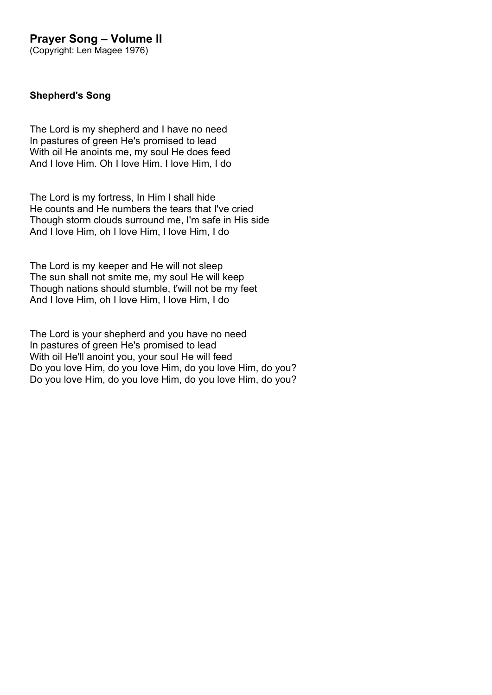(Copyright: Len Magee 1976)

## **Shepherd's Song**

The Lord is my shepherd and I have no need In pastures of green He's promised to lead With oil He anoints me, my soul He does feed And I love Him. Oh I love Him. I love Him, I do

The Lord is my fortress, In Him I shall hide He counts and He numbers the tears that I've cried Though storm clouds surround me, I'm safe in His side And I love Him, oh I love Him, I love Him, I do

The Lord is my keeper and He will not sleep The sun shall not smite me, my soul He will keep Though nations should stumble, t'will not be my feet And I love Him, oh I love Him, I love Him, I do

The Lord is your shepherd and you have no need In pastures of green He's promised to lead With oil He'll anoint you, your soul He will feed Do you love Him, do you love Him, do you love Him, do you? Do you love Him, do you love Him, do you love Him, do you?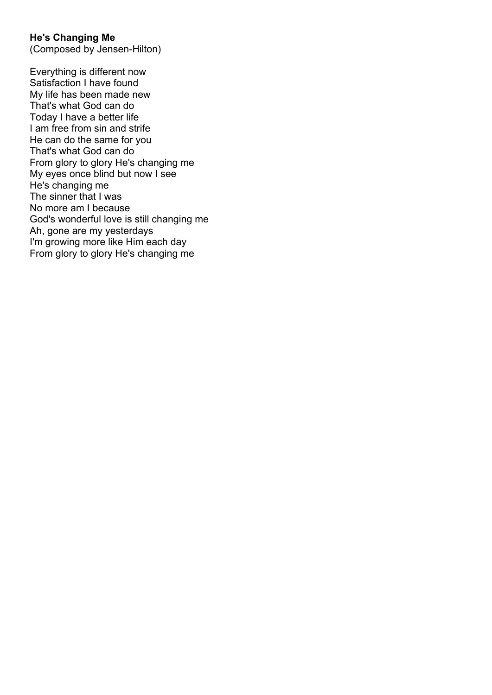## **He's Changing Me**

(Composed by Jensen-Hilton)

Everything is different now Satisfaction I have found My life has been made new That's what God can do Today I have a better life I am free from sin and strife He can do the same for you That's what God can do From glory to glory He's changing me My eyes once blind but now I see He's changing me The sinner that I was No more am I because God's wonderful love is still changing me Ah, gone are my yesterdays I'm growing more like Him each day From glory to glory He's changing me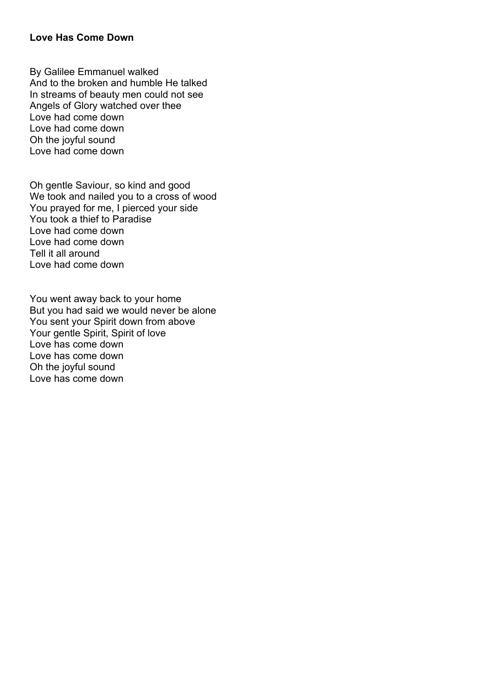## **Love Has Come Down**

By Galilee Emmanuel walked And to the broken and humble He talked In streams of beauty men could not see Angels of Glory watched over thee Love had come down Love had come down Oh the joyful sound Love had come down

Oh gentle Saviour, so kind and good We took and nailed you to a cross of wood You prayed for me, I pierced your side You took a thief to Paradise Love had come down Love had come down Tell it all around Love had come down

You went away back to your home But you had said we would never be alone You sent your Spirit down from above Your gentle Spirit, Spirit of love Love has come down Love has come down Oh the joyful sound Love has come down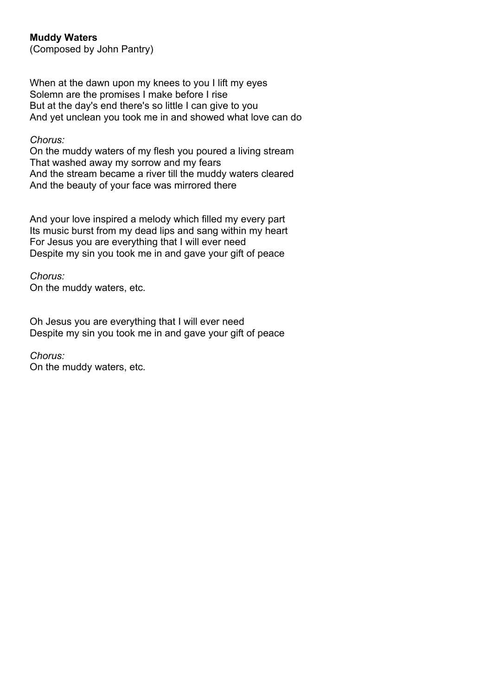# **Muddy Waters**

(Composed by John Pantry)

When at the dawn upon my knees to you I lift my eyes Solemn are the promises I make before I rise But at the day's end there's so little I can give to you And yet unclean you took me in and showed what love can do

#### *Chorus:*

On the muddy waters of my flesh you poured a living stream That washed away my sorrow and my fears And the stream became a river till the muddy waters cleared And the beauty of your face was mirrored there

And your love inspired a melody which filled my every part Its music burst from my dead lips and sang within my heart For Jesus you are everything that I will ever need Despite my sin you took me in and gave your gift of peace

*Chorus:* On the muddy waters, etc.

Oh Jesus you are everything that I will ever need Despite my sin you took me in and gave your gift of peace

*Chorus:* On the muddy waters, etc.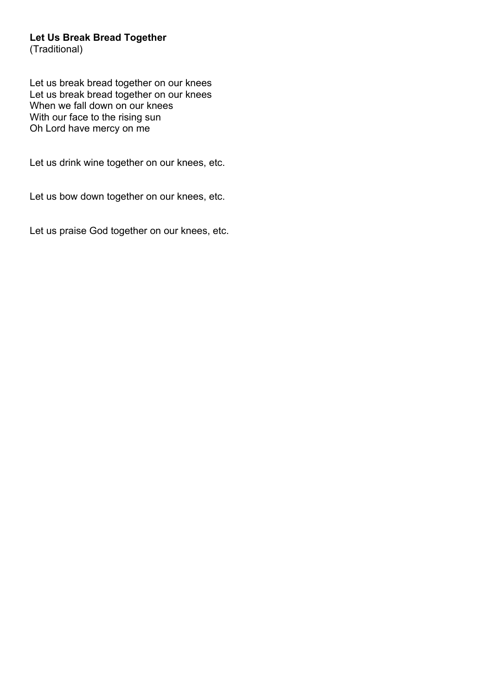# **Let Us Break Bread Together**

(Traditional)

Let us break bread together on our knees Let us break bread together on our knees When we fall down on our knees With our face to the rising sun Oh Lord have mercy on me

Let us drink wine together on our knees, etc.

Let us bow down together on our knees, etc.

Let us praise God together on our knees, etc.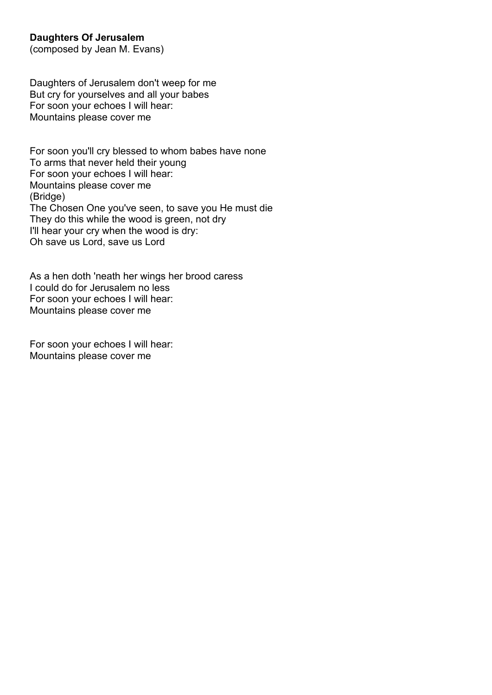# **Daughters Of Jerusalem**

(composed by Jean M. Evans)

Daughters of Jerusalem don't weep for me But cry for yourselves and all your babes For soon your echoes I will hear: Mountains please cover me

For soon you'll cry blessed to whom babes have none To arms that never held their young For soon your echoes I will hear: Mountains please cover me (Bridge) The Chosen One you've seen, to save you He must die They do this while the wood is green, not dry I'll hear your cry when the wood is dry: Oh save us Lord, save us Lord

As a hen doth 'neath her wings her brood caress I could do for Jerusalem no less For soon your echoes I will hear: Mountains please cover me

For soon your echoes I will hear: Mountains please cover me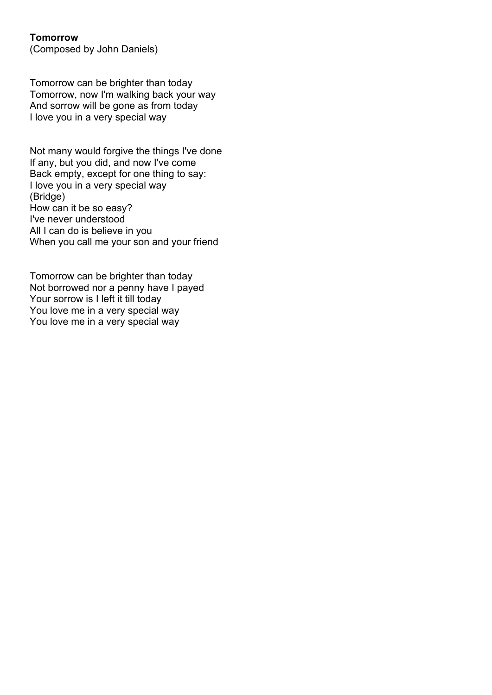## **Tomorrow**

(Composed by John Daniels)

Tomorrow can be brighter than today Tomorrow, now I'm walking back your way And sorrow will be gone as from today I love you in a very special way

Not many would forgive the things I've done If any, but you did, and now I've come Back empty, except for one thing to say: I love you in a very special way (Bridge) How can it be so easy? I've never understood All I can do is believe in you When you call me your son and your friend

Tomorrow can be brighter than today Not borrowed nor a penny have I payed Your sorrow is I left it till today You love me in a very special way You love me in a very special way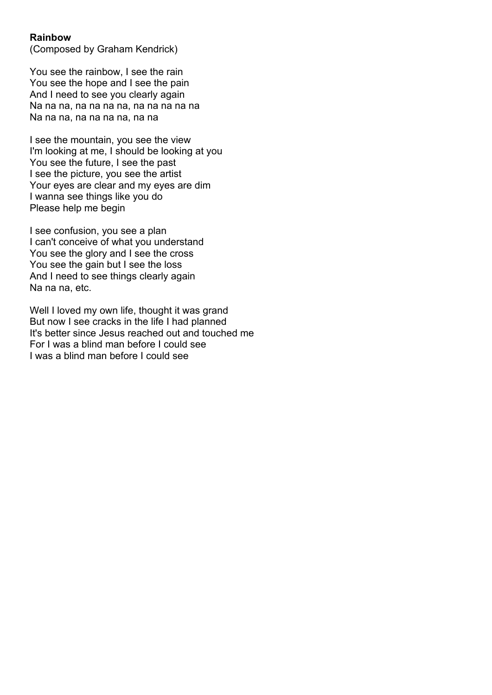## **Rainbow**

(Composed by Graham Kendrick)

You see the rainbow, I see the rain You see the hope and I see the pain And I need to see you clearly again Na na na, na na na na, na na na na na Na na na, na na na na, na na

I see the mountain, you see the view I'm looking at me, I should be looking at you You see the future, I see the past I see the picture, you see the artist Your eyes are clear and my eyes are dim I wanna see things like you do Please help me begin

I see confusion, you see a plan I can't conceive of what you understand You see the glory and I see the cross You see the gain but I see the loss And I need to see things clearly again Na na na, etc.

Well I loved my own life, thought it was grand But now I see cracks in the life I had planned It's better since Jesus reached out and touched me For I was a blind man before I could see I was a blind man before I could see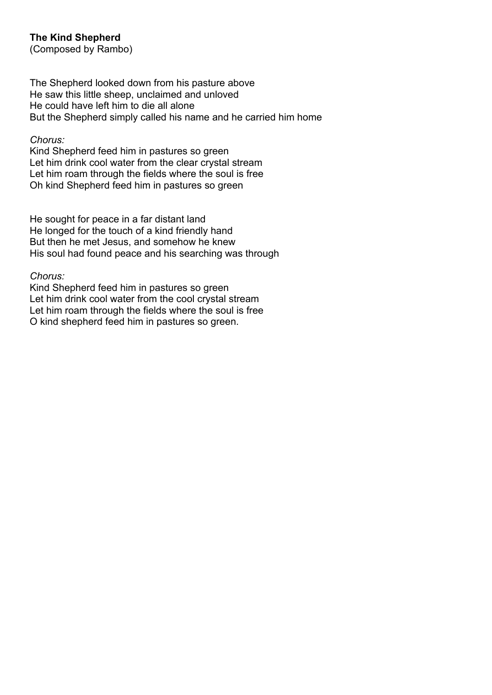# **The Kind Shepherd**

(Composed by Rambo)

The Shepherd looked down from his pasture above He saw this little sheep, unclaimed and unloved He could have left him to die all alone But the Shepherd simply called his name and he carried him home

#### *Chorus:*

Kind Shepherd feed him in pastures so green Let him drink cool water from the clear crystal stream Let him roam through the fields where the soul is free Oh kind Shepherd feed him in pastures so green

He sought for peace in a far distant land He longed for the touch of a kind friendly hand But then he met Jesus, and somehow he knew His soul had found peace and his searching was through

#### *Chorus:*

Kind Shepherd feed him in pastures so green Let him drink cool water from the cool crystal stream Let him roam through the fields where the soul is free O kind shepherd feed him in pastures so green.